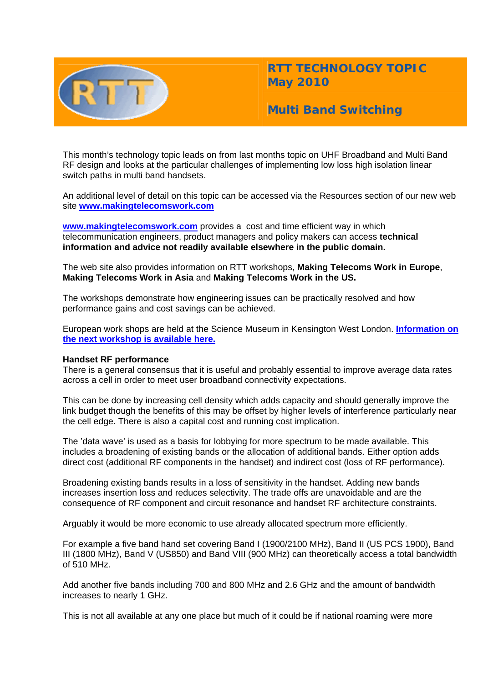

**RTT TECHNOLOGY TOPIC May 2010** 

**Multi Band Switching** 

This month's technology topic leads on from last months topic on UHF Broadband and Multi Band RF design and looks at the particular challenges of implementing low loss high isolation linear switch paths in multi band handsets.

An additional level of detail on this topic can be accessed via the Resources section of our new web site **[www.makingtelecomswork.com](http://www.makingtelecomswork.com/)**

**[www.makingtelecomswork.com](http://www.makingtelecomswork.com/)** provides a cost and time efficient way in which telecommunication engineers, product managers and policy makers can access **technical information and advice not readily available elsewhere in the public domain.** 

The web site also provides information on RTT workshops, **Making Telecoms Work in Europe**, **Making Telecoms Work in Asia** and **Making Telecoms Work in the US.**

The workshops demonstrate how engineering issues can be practically resolved and how performance gains and cost savings can be achieved.

European work shops are held at the Science Museum in Kensington West London. **[Information on](http://www.rttonline.com/documents/uhfbroadbanddesign.pdf)  [the next workshop is available here.](http://www.rttonline.com/documents/uhfbroadbanddesign.pdf)**

# **Handset RF performance**

There is a general consensus that it is useful and probably essential to improve average data rates across a cell in order to meet user broadband connectivity expectations.

This can be done by increasing cell density which adds capacity and should generally improve the link budget though the benefits of this may be offset by higher levels of interference particularly near the cell edge. There is also a capital cost and running cost implication.

The 'data wave' is used as a basis for lobbying for more spectrum to be made available. This includes a broadening of existing bands or the allocation of additional bands. Either option adds direct cost (additional RF components in the handset) and indirect cost (loss of RF performance).

Broadening existing bands results in a loss of sensitivity in the handset. Adding new bands increases insertion loss and reduces selectivity. The trade offs are unavoidable and are the consequence of RF component and circuit resonance and handset RF architecture constraints.

Arguably it would be more economic to use already allocated spectrum more efficiently.

For example a five band hand set covering Band I (1900/2100 MHz), Band II (US PCS 1900), Band III (1800 MHz), Band V (US850) and Band VIII (900 MHz) can theoretically access a total bandwidth of 510 MHz.

Add another five bands including 700 and 800 MHz and 2.6 GHz and the amount of bandwidth increases to nearly 1 GHz.

This is not all available at any one place but much of it could be if national roaming were more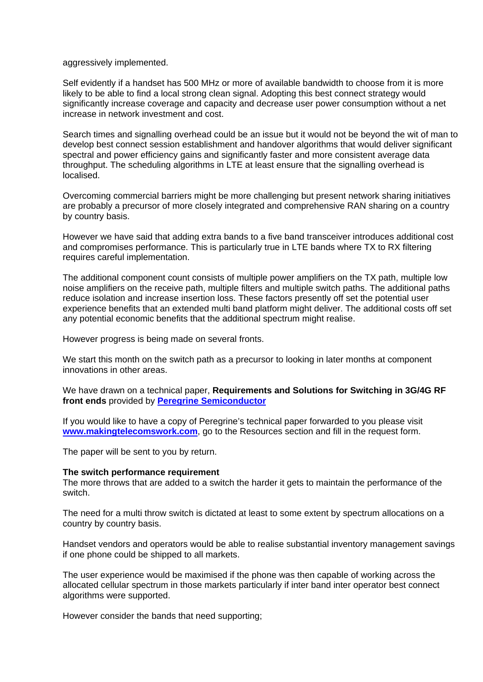aggressively implemented.

Self evidently if a handset has 500 MHz or more of available bandwidth to choose from it is more likely to be able to find a local strong clean signal. Adopting this best connect strategy would significantly increase coverage and capacity and decrease user power consumption without a net increase in network investment and cost.

Search times and signalling overhead could be an issue but it would not be beyond the wit of man to develop best connect session establishment and handover algorithms that would deliver significant spectral and power efficiency gains and significantly faster and more consistent average data throughput. The scheduling algorithms in LTE at least ensure that the signalling overhead is localised.

Overcoming commercial barriers might be more challenging but present network sharing initiatives are probably a precursor of more closely integrated and comprehensive RAN sharing on a country by country basis.

However we have said that adding extra bands to a five band transceiver introduces additional cost and compromises performance. This is particularly true in LTE bands where TX to RX filtering requires careful implementation.

The additional component count consists of multiple power amplifiers on the TX path, multiple low noise amplifiers on the receive path, multiple filters and multiple switch paths. The additional paths reduce isolation and increase insertion loss. These factors presently off set the potential user experience benefits that an extended multi band platform might deliver. The additional costs off set any potential economic benefits that the additional spectrum might realise.

However progress is being made on several fronts.

We start this month on the switch path as a precursor to looking in later months at component innovations in other areas.

We have drawn on a technical paper, **Requirements and Solutions for Switching in 3G/4G RF front ends** provided by **[Peregrine Semiconductor](http://www.peregrine-semi.com/)**

If you would like to have a copy of Peregrine's technical paper forwarded to you please visit **[www.makingtelecomswork.com](http://www.makingtelecomswork.com/)**, go to the Resources section and fill in the request form.

The paper will be sent to you by return.

#### **The switch performance requirement**

The more throws that are added to a switch the harder it gets to maintain the performance of the switch.

The need for a multi throw switch is dictated at least to some extent by spectrum allocations on a country by country basis.

Handset vendors and operators would be able to realise substantial inventory management savings if one phone could be shipped to all markets.

The user experience would be maximised if the phone was then capable of working across the allocated cellular spectrum in those markets particularly if inter band inter operator best connect algorithms were supported.

However consider the bands that need supporting;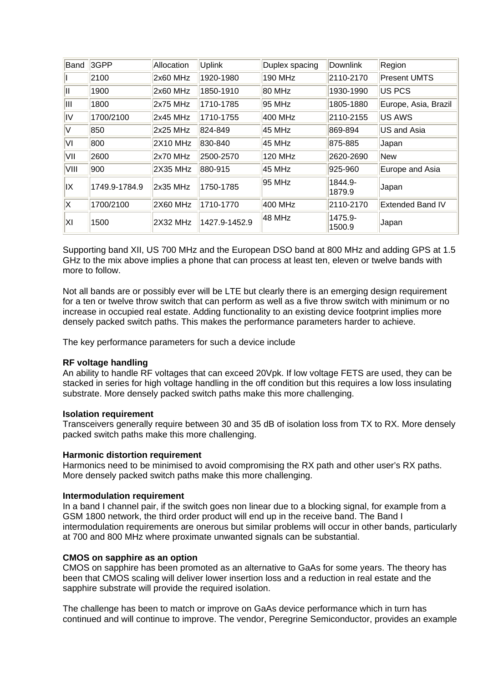| Band | 3GPP          | Allocation | <b>Uplink</b> | Duplex spacing | Downlink          | Region                  |
|------|---------------|------------|---------------|----------------|-------------------|-------------------------|
|      | 2100          | 2x60 MHz   | 1920-1980     | 190 MHz        | 2110-2170         | <b>Present UMTS</b>     |
| Ш    | 1900          | 2x60 MHz   | 1850-1910     | 80 MHz         | 1930-1990         | <b>US PCS</b>           |
| ШL   | 1800          | 2x75 MHz   | 1710-1785     | 95 MHz         | 1805-1880         | Europe, Asia, Brazil    |
| IV   | 1700/2100     | 2x45 MHz   | 1710-1755     | 400 MHz        | 2110-2155         | <b>US AWS</b>           |
| IV.  | 850           | $2x25$ MHz | 824-849       | 45 MHz         | 869-894           | US and Asia             |
| ΙVΙ  | 800           | 2X10 MHz   | 830-840       | 45 MHz         | 875-885           | Japan                   |
| VII  | 2600          | $2x70$ MHz | 2500-2570     | 120 MHz        | 2620-2690         | New                     |
| VIII | 900           | 2X35 MHz   | 880-915       | 45 MHz         | 925-960           | Europe and Asia         |
| IX   | 1749.9-1784.9 | $2x35$ MHz | 1750-1785     | 95 MHz         | 1844.9-<br>1879.9 | Japan                   |
| IX.  | 1700/2100     | 2X60 MHz   | 1710-1770     | 400 MHz        | 2110-2170         | <b>Extended Band IV</b> |
| ΙXΙ  | 1500          | 2X32 MHz   | 1427.9-1452.9 | 48 MHz         | 1475.9-<br>1500.9 | Japan                   |

Supporting band XII, US 700 MHz and the European DSO band at 800 MHz and adding GPS at 1.5 GHz to the mix above implies a phone that can process at least ten, eleven or twelve bands with more to follow.

Not all bands are or possibly ever will be LTE but clearly there is an emerging design requirement for a ten or twelve throw switch that can perform as well as a five throw switch with minimum or no increase in occupied real estate. Adding functionality to an existing device footprint implies more densely packed switch paths. This makes the performance parameters harder to achieve.

The key performance parameters for such a device include

# **RF voltage handling**

An ability to handle RF voltages that can exceed 20Vpk. If low voltage FETS are used, they can be stacked in series for high voltage handling in the off condition but this requires a low loss insulating substrate. More densely packed switch paths make this more challenging.

# **Isolation requirement**

Transceivers generally require between 30 and 35 dB of isolation loss from TX to RX. More densely packed switch paths make this more challenging.

# **Harmonic distortion requirement**

Harmonics need to be minimised to avoid compromising the RX path and other user's RX paths. More densely packed switch paths make this more challenging.

# **Intermodulation requirement**

In a band I channel pair, if the switch goes non linear due to a blocking signal, for example from a GSM 1800 network, the third order product will end up in the receive band. The Band I intermodulation requirements are onerous but similar problems will occur in other bands, particularly at 700 and 800 MHz where proximate unwanted signals can be substantial.

# **CMOS on sapphire as an option**

CMOS on sapphire has been promoted as an alternative to GaAs for some years. The theory has been that CMOS scaling will deliver lower insertion loss and a reduction in real estate and the sapphire substrate will provide the required isolation.

The challenge has been to match or improve on GaAs device performance which in turn has continued and will continue to improve. The vendor, Peregrine Semiconductor, provides an example